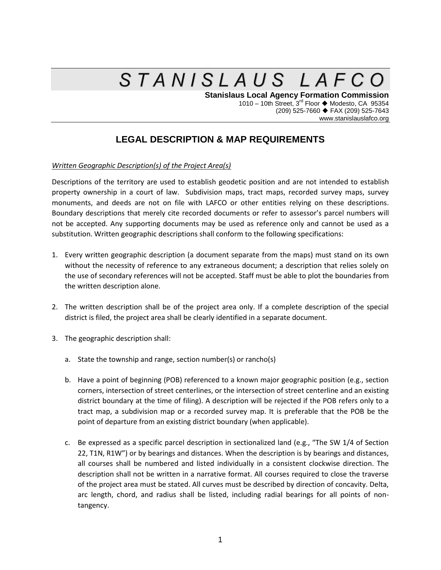## STANISLAUS LAFCO

**Stanislaus Local Agency Formation Commission** 1010 – 10th Street,  $3^{rd}$  Floor  $\blacklozenge$  Modesto, CA 95354 (209) 525-7660 FAX (209) 525-7643 www.stanislauslafco.org

## **LEGAL DESCRIPTION & MAP REQUIREMENTS**

## *Written Geographic Description(s) of the Project Area(s)*

Descriptions of the territory are used to establish geodetic position and are not intended to establish property ownership in a court of law. Subdivision maps, tract maps, recorded survey maps, survey monuments, and deeds are not on file with LAFCO or other entities relying on these descriptions. Boundary descriptions that merely cite recorded documents or refer to assessor's parcel numbers will not be accepted. Any supporting documents may be used as reference only and cannot be used as a substitution. Written geographic descriptions shall conform to the following specifications:

- 1. Every written geographic description (a document separate from the maps) must stand on its own without the necessity of reference to any extraneous document; a description that relies solely on the use of secondary references will not be accepted. Staff must be able to plot the boundaries from the written description alone.
- 2. The written description shall be of the project area only. If a complete description of the special district is filed, the project area shall be clearly identified in a separate document.
- 3. The geographic description shall:
	- a. State the township and range, section number(s) or rancho(s)
	- b. Have a point of beginning (POB) referenced to a known major geographic position (e.g., section corners, intersection of street centerlines, or the intersection of street centerline and an existing district boundary at the time of filing). A description will be rejected if the POB refers only to a tract map, a subdivision map or a recorded survey map. It is preferable that the POB be the point of departure from an existing district boundary (when applicable).
	- c. Be expressed as a specific parcel description in sectionalized land (e.g., "The SW 1/4 of Section 22, T1N, R1W") or by bearings and distances. When the description is by bearings and distances, all courses shall be numbered and listed individually in a consistent clockwise direction. The description shall not be written in a narrative format. All courses required to close the traverse of the project area must be stated. All curves must be described by direction of concavity. Delta, arc length, chord, and radius shall be listed, including radial bearings for all points of nontangency.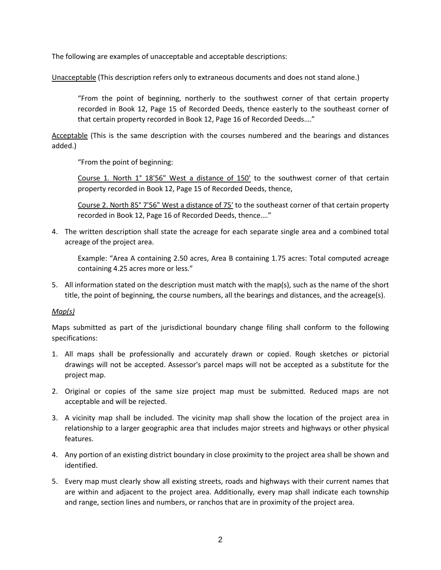The following are examples of unacceptable and acceptable descriptions:

Unacceptable (This description refers only to extraneous documents and does not stand alone.)

"From the point of beginning, northerly to the southwest corner of that certain property recorded in Book 12, Page 15 of Recorded Deeds, thence easterly to the southeast corner of that certain property recorded in Book 12, Page 16 of Recorded Deeds.…"

Acceptable (This is the same description with the courses numbered and the bearings and distances added.)

"From the point of beginning:

Course 1. North 1° 18'56" West a distance of 150' to the southwest corner of that certain property recorded in Book 12, Page 15 of Recorded Deeds, thence,

Course 2. North 85° 7'56" West a distance of 75' to the southeast corner of that certain property recorded in Book 12, Page 16 of Recorded Deeds, thence…."

4. The written description shall state the acreage for each separate single area and a combined total acreage of the project area.

Example: "Area A containing 2.50 acres, Area B containing 1.75 acres: Total computed acreage containing 4.25 acres more or less."

5. All information stated on the description must match with the map(s), such as the name of the short title, the point of beginning, the course numbers, all the bearings and distances, and the acreage(s).

## *Map(s)*

Maps submitted as part of the jurisdictional boundary change filing shall conform to the following specifications:

- 1. All maps shall be professionally and accurately drawn or copied. Rough sketches or pictorial drawings will not be accepted. Assessor's parcel maps will not be accepted as a substitute for the project map.
- 2. Original or copies of the same size project map must be submitted. Reduced maps are not acceptable and will be rejected.
- 3. A vicinity map shall be included. The vicinity map shall show the location of the project area in relationship to a larger geographic area that includes major streets and highways or other physical features.
- 4. Any portion of an existing district boundary in close proximity to the project area shall be shown and identified.
- 5. Every map must clearly show all existing streets, roads and highways with their current names that are within and adjacent to the project area. Additionally, every map shall indicate each township and range, section lines and numbers, or ranchos that are in proximity of the project area.